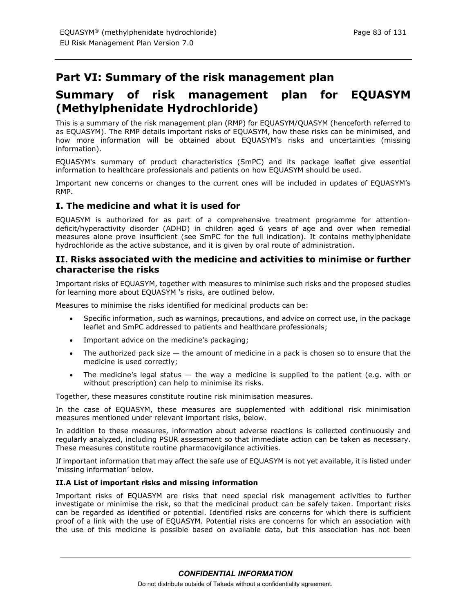# **Part VI: Summary of the risk management plan**

# **Summary of risk management plan for EQUASYM (Methylphenidate Hydrochloride)**

This is a summary of the risk management plan (RMP) for EQUASYM/QUASYM (henceforth referred to as EQUASYM). The RMP details important risks of EQUASYM, how these risks can be minimised, and how more information will be obtained about EQUASYM's risks and uncertainties (missing information).

EQUASYM's summary of product characteristics (SmPC) and its package leaflet give essential information to healthcare professionals and patients on how EQUASYM should be used.

Important new concerns or changes to the current ones will be included in updates of EQUASYM's RMP.

# **I. The medicine and what it is used for**

EQUASYM is authorized for as part of a comprehensive treatment programme for attentiondeficit/hyperactivity disorder (ADHD) in children aged 6 years of age and over when remedial measures alone prove insufficient (see SmPC for the full indication). It contains methylphenidate hydrochloride as the active substance, and it is given by oral route of administration.

# **II. Risks associated with the medicine and activities to minimise or further characterise the risks**

Important risks of EQUASYM, together with measures to minimise such risks and the proposed studies for learning more about EQUASYM 's risks, are outlined below.

Measures to minimise the risks identified for medicinal products can be:

- Specific information, such as warnings, precautions, and advice on correct use, in the package leaflet and SmPC addressed to patients and healthcare professionals;
- Important advice on the medicine's packaging;
- The authorized pack size  $-$  the amount of medicine in a pack is chosen so to ensure that the medicine is used correctly;
- The medicine's legal status  $-$  the way a medicine is supplied to the patient (e.g. with or without prescription) can help to minimise its risks.

Together, these measures constitute routine risk minimisation measures.

In the case of EQUASYM, these measures are supplemented with additional risk minimisation measures mentioned under relevant important risks, below.

In addition to these measures, information about adverse reactions is collected continuously and regularly analyzed, including PSUR assessment so that immediate action can be taken as necessary. These measures constitute routine pharmacovigilance activities.

If important information that may affect the safe use of EQUASYM is not yet available, it is listed under 'missing information' below.

### **II.A List of important risks and missing information**

Important risks of EQUASYM are risks that need special risk management activities to further investigate or minimise the risk, so that the medicinal product can be safely taken. Important risks can be regarded as identified or potential. Identified risks are concerns for which there is sufficient proof of a link with the use of EQUASYM. Potential risks are concerns for which an association with the use of this medicine is possible based on available data, but this association has not been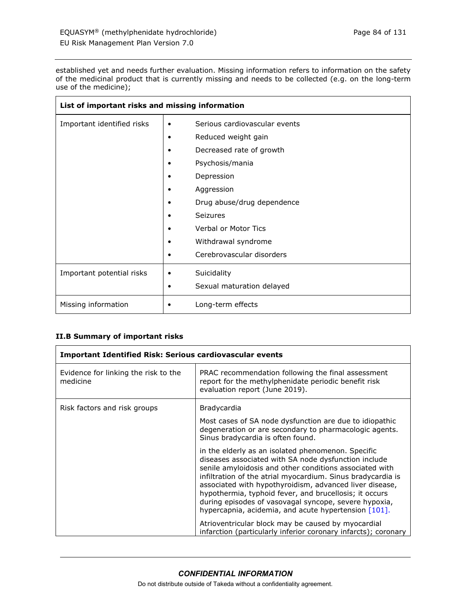r

established yet and needs further evaluation. Missing information refers to information on the safety of the medicinal product that is currently missing and needs to be collected (e.g. on the long-term use of the medicine);

| List of important risks and missing information |                                    |
|-------------------------------------------------|------------------------------------|
| Important identified risks                      | Serious cardiovascular events<br>٠ |
|                                                 | Reduced weight gain                |
|                                                 | Decreased rate of growth           |
|                                                 | Psychosis/mania                    |
|                                                 | Depression                         |
|                                                 | Aggression                         |
|                                                 | Drug abuse/drug dependence         |
|                                                 | Seizures                           |
|                                                 | <b>Verbal or Motor Tics</b>        |
|                                                 | Withdrawal syndrome                |
|                                                 | Cerebrovascular disorders          |
| Important potential risks                       | Suicidality                        |
|                                                 | Sexual maturation delayed          |
| Missing information                             | Long-term effects                  |

# **II.B Summary of important risks**

| <b>Important Identified Risk: Serious cardiovascular events</b> |                                                                                                                                                                                                                                                                                                                                                                                                                                                                            |
|-----------------------------------------------------------------|----------------------------------------------------------------------------------------------------------------------------------------------------------------------------------------------------------------------------------------------------------------------------------------------------------------------------------------------------------------------------------------------------------------------------------------------------------------------------|
| Evidence for linking the risk to the<br>medicine                | PRAC recommendation following the final assessment<br>report for the methylphenidate periodic benefit risk<br>evaluation report (June 2019).                                                                                                                                                                                                                                                                                                                               |
| Risk factors and risk groups                                    | Bradycardia<br>Most cases of SA node dysfunction are due to idiopathic<br>degeneration or are secondary to pharmacologic agents.<br>Sinus bradycardia is often found.                                                                                                                                                                                                                                                                                                      |
|                                                                 | in the elderly as an isolated phenomenon. Specific<br>diseases associated with SA node dysfunction include<br>senile amyloidosis and other conditions associated with<br>infiltration of the atrial myocardium. Sinus bradycardia is<br>associated with hypothyroidism, advanced liver disease,<br>hypothermia, typhoid fever, and brucellosis; it occurs<br>during episodes of vasovagal syncope, severe hypoxia,<br>hypercapnia, acidemia, and acute hypertension [101]. |
|                                                                 | Atrioventricular block may be caused by myocardial<br>infarction (particularly inferior coronary infarcts); coronary                                                                                                                                                                                                                                                                                                                                                       |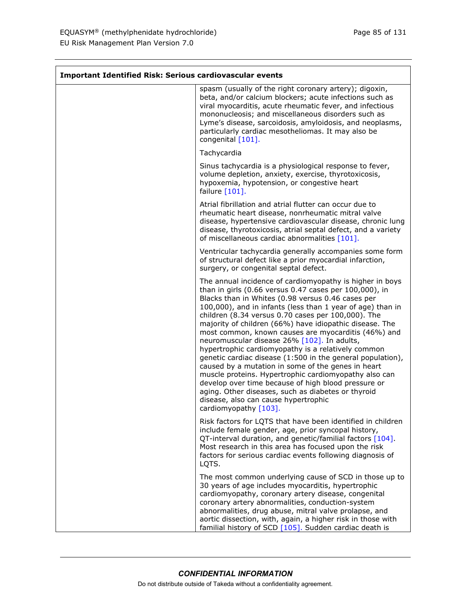$\mathbf{r}$ 

ă.

| <b>Important Identified Risk: Serious cardiovascular events</b> |                                                                                                                                                                                                                                                                                                                                                                                                                                                                                                                                                                                                                                                                                                                                                                                                                                                                               |
|-----------------------------------------------------------------|-------------------------------------------------------------------------------------------------------------------------------------------------------------------------------------------------------------------------------------------------------------------------------------------------------------------------------------------------------------------------------------------------------------------------------------------------------------------------------------------------------------------------------------------------------------------------------------------------------------------------------------------------------------------------------------------------------------------------------------------------------------------------------------------------------------------------------------------------------------------------------|
|                                                                 | spasm (usually of the right coronary artery); digoxin,<br>beta, and/or calcium blockers; acute infections such as<br>viral myocarditis, acute rheumatic fever, and infectious<br>mononucleosis; and miscellaneous disorders such as<br>Lyme's disease, sarcoidosis, amyloidosis, and neoplasms,<br>particularly cardiac mesotheliomas. It may also be<br>congenital [101].                                                                                                                                                                                                                                                                                                                                                                                                                                                                                                    |
|                                                                 | Tachycardia                                                                                                                                                                                                                                                                                                                                                                                                                                                                                                                                                                                                                                                                                                                                                                                                                                                                   |
|                                                                 | Sinus tachycardia is a physiological response to fever,<br>volume depletion, anxiety, exercise, thyrotoxicosis,<br>hypoxemia, hypotension, or congestive heart<br>failure $[101]$ .                                                                                                                                                                                                                                                                                                                                                                                                                                                                                                                                                                                                                                                                                           |
|                                                                 | Atrial fibrillation and atrial flutter can occur due to<br>rheumatic heart disease, nonrheumatic mitral valve<br>disease, hypertensive cardiovascular disease, chronic lung<br>disease, thyrotoxicosis, atrial septal defect, and a variety<br>of miscellaneous cardiac abnormalities [101].                                                                                                                                                                                                                                                                                                                                                                                                                                                                                                                                                                                  |
|                                                                 | Ventricular tachycardia generally accompanies some form<br>of structural defect like a prior myocardial infarction,<br>surgery, or congenital septal defect.                                                                                                                                                                                                                                                                                                                                                                                                                                                                                                                                                                                                                                                                                                                  |
|                                                                 | The annual incidence of cardiomyopathy is higher in boys<br>than in girls (0.66 versus 0.47 cases per 100,000), in<br>Blacks than in Whites (0.98 versus 0.46 cases per<br>100,000), and in infants (less than 1 year of age) than in<br>children (8.34 versus 0.70 cases per 100,000). The<br>majority of children (66%) have idiopathic disease. The<br>most common, known causes are myocarditis (46%) and<br>neuromuscular disease 26% [102]. In adults,<br>hypertrophic cardiomyopathy is a relatively common<br>genetic cardiac disease (1:500 in the general population),<br>caused by a mutation in some of the genes in heart<br>muscle proteins. Hypertrophic cardiomyopathy also can<br>develop over time because of high blood pressure or<br>aging. Other diseases, such as diabetes or thyroid<br>disease, also can cause hypertrophic<br>cardiomyopathy [103]. |
|                                                                 | Risk factors for LQTS that have been identified in children<br>include female gender, age, prior syncopal history,<br>QT-interval duration, and genetic/familial factors [104].<br>Most research in this area has focused upon the risk<br>factors for serious cardiac events following diagnosis of<br>LQTS.                                                                                                                                                                                                                                                                                                                                                                                                                                                                                                                                                                 |
|                                                                 | The most common underlying cause of SCD in those up to<br>30 years of age includes myocarditis, hypertrophic<br>cardiomyopathy, coronary artery disease, congenital<br>coronary artery abnormalities, conduction-system<br>abnormalities, drug abuse, mitral valve prolapse, and<br>aortic dissection, with, again, a higher risk in those with<br>familial history of SCD [105]. Sudden cardiac death is                                                                                                                                                                                                                                                                                                                                                                                                                                                                     |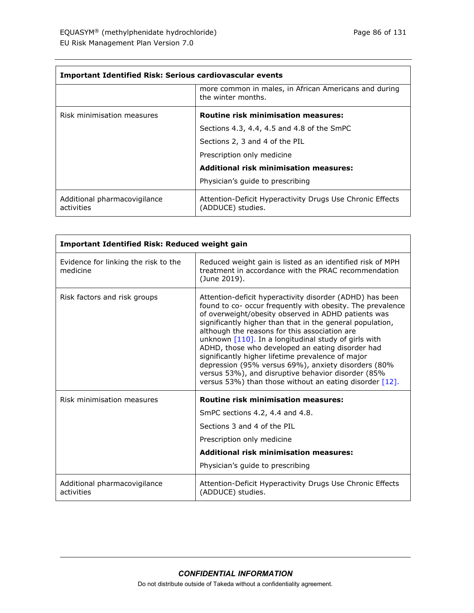| <b>Important Identified Risk: Serious cardiovascular events</b> |                                                                                |
|-----------------------------------------------------------------|--------------------------------------------------------------------------------|
|                                                                 | more common in males, in African Americans and during<br>the winter months.    |
| Risk minimisation measures                                      | <b>Routine risk minimisation measures:</b>                                     |
|                                                                 | Sections 4.3, 4.4, 4.5 and 4.8 of the SmPC                                     |
|                                                                 | Sections 2, 3 and 4 of the PIL                                                 |
|                                                                 | Prescription only medicine                                                     |
|                                                                 | <b>Additional risk minimisation measures:</b>                                  |
|                                                                 | Physician's guide to prescribing                                               |
| Additional pharmacovigilance<br>activities                      | Attention-Deficit Hyperactivity Drugs Use Chronic Effects<br>(ADDUCE) studies. |

| <b>Important Identified Risk: Reduced weight gain</b> |                                                                                                                                                                                                                                                                                                                                                                                                                                                                                                                                                                                                                                            |
|-------------------------------------------------------|--------------------------------------------------------------------------------------------------------------------------------------------------------------------------------------------------------------------------------------------------------------------------------------------------------------------------------------------------------------------------------------------------------------------------------------------------------------------------------------------------------------------------------------------------------------------------------------------------------------------------------------------|
| Evidence for linking the risk to the<br>medicine      | Reduced weight gain is listed as an identified risk of MPH<br>treatment in accordance with the PRAC recommendation<br>(June 2019).                                                                                                                                                                                                                                                                                                                                                                                                                                                                                                         |
| Risk factors and risk groups                          | Attention-deficit hyperactivity disorder (ADHD) has been<br>found to co- occur frequently with obesity. The prevalence<br>of overweight/obesity observed in ADHD patients was<br>significantly higher than that in the general population,<br>although the reasons for this association are<br>unknown $[110]$ . In a longitudinal study of girls with<br>ADHD, those who developed an eating disorder had<br>significantly higher lifetime prevalence of major<br>depression (95% versus 69%), anxiety disorders (80%<br>versus 53%), and disruptive behavior disorder (85%<br>versus 53%) than those without an eating disorder $[12]$ . |
| Risk minimisation measures                            | <b>Routine risk minimisation measures:</b>                                                                                                                                                                                                                                                                                                                                                                                                                                                                                                                                                                                                 |
|                                                       | SmPC sections 4.2, 4.4 and 4.8.                                                                                                                                                                                                                                                                                                                                                                                                                                                                                                                                                                                                            |
|                                                       | Sections 3 and 4 of the PIL                                                                                                                                                                                                                                                                                                                                                                                                                                                                                                                                                                                                                |
|                                                       | Prescription only medicine                                                                                                                                                                                                                                                                                                                                                                                                                                                                                                                                                                                                                 |
|                                                       | <b>Additional risk minimisation measures:</b>                                                                                                                                                                                                                                                                                                                                                                                                                                                                                                                                                                                              |
|                                                       | Physician's guide to prescribing                                                                                                                                                                                                                                                                                                                                                                                                                                                                                                                                                                                                           |
| Additional pharmacovigilance<br>activities            | Attention-Deficit Hyperactivity Drugs Use Chronic Effects<br>(ADDUCE) studies.                                                                                                                                                                                                                                                                                                                                                                                                                                                                                                                                                             |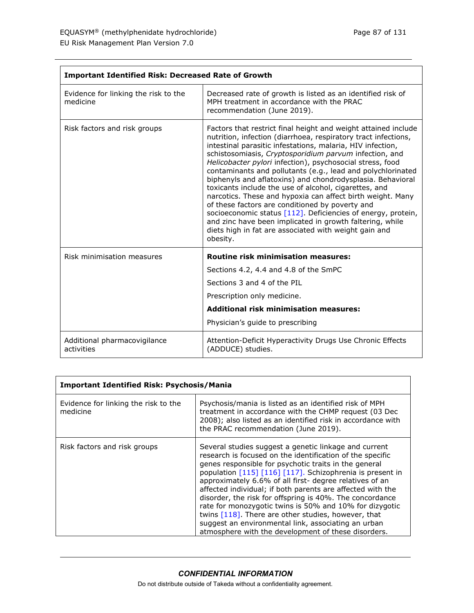| <b>Important Identified Risk: Decreased Rate of Growth</b> |                                                                                                                                                                                                                                                                                                                                                                                                                                                                                                                                                                                                                                                                                                                                                                                                                               |
|------------------------------------------------------------|-------------------------------------------------------------------------------------------------------------------------------------------------------------------------------------------------------------------------------------------------------------------------------------------------------------------------------------------------------------------------------------------------------------------------------------------------------------------------------------------------------------------------------------------------------------------------------------------------------------------------------------------------------------------------------------------------------------------------------------------------------------------------------------------------------------------------------|
| Evidence for linking the risk to the<br>medicine           | Decreased rate of growth is listed as an identified risk of<br>MPH treatment in accordance with the PRAC<br>recommendation (June 2019).                                                                                                                                                                                                                                                                                                                                                                                                                                                                                                                                                                                                                                                                                       |
| Risk factors and risk groups                               | Factors that restrict final height and weight attained include<br>nutrition, infection (diarrhoea, respiratory tract infections,<br>intestinal parasitic infestations, malaria, HIV infection,<br>schistosomiasis, Cryptosporidium parvum infection, and<br>Helicobacter pylori infection), psychosocial stress, food<br>contaminants and pollutants (e.g., lead and polychlorinated<br>biphenyls and aflatoxins) and chondrodysplasia. Behavioral<br>toxicants include the use of alcohol, cigarettes, and<br>narcotics. These and hypoxia can affect birth weight. Many<br>of these factors are conditioned by poverty and<br>socioeconomic status [112]. Deficiencies of energy, protein,<br>and zinc have been implicated in growth faltering, while<br>diets high in fat are associated with weight gain and<br>obesity. |
| Risk minimisation measures                                 | <b>Routine risk minimisation measures:</b>                                                                                                                                                                                                                                                                                                                                                                                                                                                                                                                                                                                                                                                                                                                                                                                    |
|                                                            | Sections 4.2, 4.4 and 4.8 of the SmPC                                                                                                                                                                                                                                                                                                                                                                                                                                                                                                                                                                                                                                                                                                                                                                                         |
|                                                            | Sections 3 and 4 of the PIL                                                                                                                                                                                                                                                                                                                                                                                                                                                                                                                                                                                                                                                                                                                                                                                                   |
|                                                            | Prescription only medicine.                                                                                                                                                                                                                                                                                                                                                                                                                                                                                                                                                                                                                                                                                                                                                                                                   |
|                                                            | <b>Additional risk minimisation measures:</b>                                                                                                                                                                                                                                                                                                                                                                                                                                                                                                                                                                                                                                                                                                                                                                                 |
|                                                            | Physician's guide to prescribing                                                                                                                                                                                                                                                                                                                                                                                                                                                                                                                                                                                                                                                                                                                                                                                              |
| Additional pharmacovigilance<br>activities                 | Attention-Deficit Hyperactivity Drugs Use Chronic Effects<br>(ADDUCE) studies.                                                                                                                                                                                                                                                                                                                                                                                                                                                                                                                                                                                                                                                                                                                                                |

| <b>Important Identified Risk: Psychosis/Mania</b> |                                                                                                                                                                                                                                                                                                                                                                                                                                                                                                                                                                                                                                                               |
|---------------------------------------------------|---------------------------------------------------------------------------------------------------------------------------------------------------------------------------------------------------------------------------------------------------------------------------------------------------------------------------------------------------------------------------------------------------------------------------------------------------------------------------------------------------------------------------------------------------------------------------------------------------------------------------------------------------------------|
| Evidence for linking the risk to the<br>medicine  | Psychosis/mania is listed as an identified risk of MPH<br>treatment in accordance with the CHMP request (03 Dec<br>2008); also listed as an identified risk in accordance with<br>the PRAC recommendation (June 2019).                                                                                                                                                                                                                                                                                                                                                                                                                                        |
| Risk factors and risk groups                      | Several studies suggest a genetic linkage and current<br>research is focused on the identification of the specific<br>genes responsible for psychotic traits in the general<br>population [115] [116] [117]. Schizophrenia is present in<br>approximately 6.6% of all first- degree relatives of an<br>affected individual; if both parents are affected with the<br>disorder, the risk for offspring is 40%. The concordance<br>rate for monozygotic twins is 50% and 10% for dizygotic<br>twins [118]. There are other studies, however, that<br>suggest an environmental link, associating an urban<br>atmosphere with the development of these disorders. |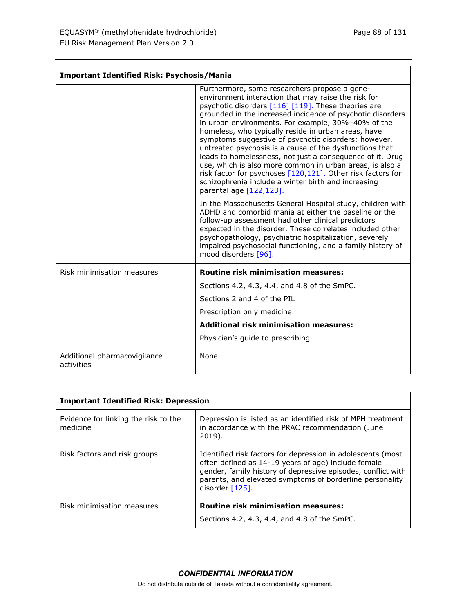| Page 88 of 131 |  |  |  |  |
|----------------|--|--|--|--|
|----------------|--|--|--|--|

| <b>Important Identified Risk: Psychosis/Mania</b> |                                                                                                                                                                                                                                                                                                                                                                                                                                                                                                                                                                                                                                                                                                                                     |
|---------------------------------------------------|-------------------------------------------------------------------------------------------------------------------------------------------------------------------------------------------------------------------------------------------------------------------------------------------------------------------------------------------------------------------------------------------------------------------------------------------------------------------------------------------------------------------------------------------------------------------------------------------------------------------------------------------------------------------------------------------------------------------------------------|
|                                                   | Furthermore, some researchers propose a gene-<br>environment interaction that may raise the risk for<br>psychotic disorders [116] [119]. These theories are<br>grounded in the increased incidence of psychotic disorders<br>in urban environments. For example, 30%-40% of the<br>homeless, who typically reside in urban areas, have<br>symptoms suggestive of psychotic disorders; however,<br>untreated psychosis is a cause of the dysfunctions that<br>leads to homelessness, not just a consequence of it. Drug<br>use, which is also more common in urban areas, is also a<br>risk factor for psychoses [120,121]. Other risk factors for<br>schizophrenia include a winter birth and increasing<br>parental age [122,123]. |
|                                                   | In the Massachusetts General Hospital study, children with<br>ADHD and comorbid mania at either the baseline or the<br>follow-up assessment had other clinical predictors<br>expected in the disorder. These correlates included other<br>psychopathology, psychiatric hospitalization, severely<br>impaired psychosocial functioning, and a family history of<br>mood disorders [96].                                                                                                                                                                                                                                                                                                                                              |
| Risk minimisation measures                        | <b>Routine risk minimisation measures:</b>                                                                                                                                                                                                                                                                                                                                                                                                                                                                                                                                                                                                                                                                                          |
|                                                   | Sections 4.2, 4.3, 4.4, and 4.8 of the SmPC.                                                                                                                                                                                                                                                                                                                                                                                                                                                                                                                                                                                                                                                                                        |
|                                                   | Sections 2 and 4 of the PIL                                                                                                                                                                                                                                                                                                                                                                                                                                                                                                                                                                                                                                                                                                         |
|                                                   | Prescription only medicine.                                                                                                                                                                                                                                                                                                                                                                                                                                                                                                                                                                                                                                                                                                         |
|                                                   | <b>Additional risk minimisation measures:</b>                                                                                                                                                                                                                                                                                                                                                                                                                                                                                                                                                                                                                                                                                       |
|                                                   | Physician's guide to prescribing                                                                                                                                                                                                                                                                                                                                                                                                                                                                                                                                                                                                                                                                                                    |
| Additional pharmacovigilance<br>activities        | None                                                                                                                                                                                                                                                                                                                                                                                                                                                                                                                                                                                                                                                                                                                                |

| <b>Important Identified Risk: Depression</b>     |                                                                                                                                                                                                                                                                      |  |
|--------------------------------------------------|----------------------------------------------------------------------------------------------------------------------------------------------------------------------------------------------------------------------------------------------------------------------|--|
| Evidence for linking the risk to the<br>medicine | Depression is listed as an identified risk of MPH treatment<br>in accordance with the PRAC recommendation (June<br>2019).                                                                                                                                            |  |
| Risk factors and risk groups                     | Identified risk factors for depression in adolescents (most<br>often defined as 14-19 years of age) include female<br>gender, family history of depressive episodes, conflict with<br>parents, and elevated symptoms of borderline personality<br>disorder $[125]$ . |  |
| Risk minimisation measures                       | <b>Routine risk minimisation measures:</b><br>Sections 4.2, 4.3, 4.4, and 4.8 of the SmPC.                                                                                                                                                                           |  |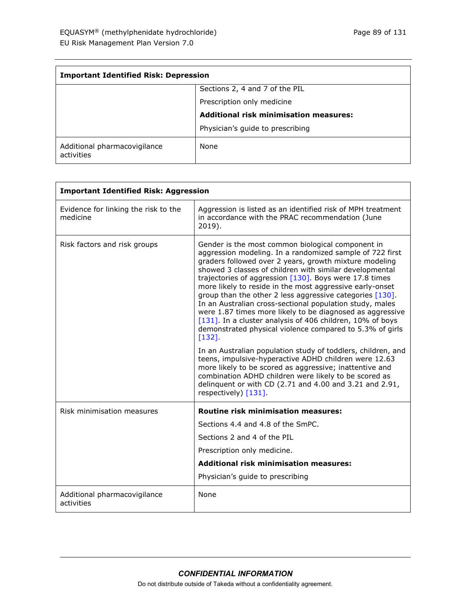| <b>Important Identified Risk: Depression</b> |                                               |
|----------------------------------------------|-----------------------------------------------|
|                                              | Sections 2, 4 and 7 of the PIL                |
|                                              | Prescription only medicine                    |
|                                              | <b>Additional risk minimisation measures:</b> |
|                                              | Physician's guide to prescribing              |
| Additional pharmacovigilance<br>activities   | None                                          |

| <b>Important Identified Risk: Aggression</b>     |                                                                                                                                                                                                                                                                                                                                                                                                                                                                                                                                                                                                                                                                                                                                                                                                                 |
|--------------------------------------------------|-----------------------------------------------------------------------------------------------------------------------------------------------------------------------------------------------------------------------------------------------------------------------------------------------------------------------------------------------------------------------------------------------------------------------------------------------------------------------------------------------------------------------------------------------------------------------------------------------------------------------------------------------------------------------------------------------------------------------------------------------------------------------------------------------------------------|
| Evidence for linking the risk to the<br>medicine | Aggression is listed as an identified risk of MPH treatment<br>in accordance with the PRAC recommendation (June<br>2019).                                                                                                                                                                                                                                                                                                                                                                                                                                                                                                                                                                                                                                                                                       |
| Risk factors and risk groups                     | Gender is the most common biological component in<br>aggression modeling. In a randomized sample of 722 first<br>graders followed over 2 years, growth mixture modeling<br>showed 3 classes of children with similar developmental<br>trajectories of aggression $[130]$ . Boys were 17.8 times<br>more likely to reside in the most aggressive early-onset<br>group than the other 2 less aggressive categories [130].<br>In an Australian cross-sectional population study, males<br>were 1.87 times more likely to be diagnosed as aggressive<br>[131]. In a cluster analysis of 406 children, 10% of boys<br>demonstrated physical violence compared to 5.3% of girls<br>$[132]$ .<br>In an Australian population study of toddlers, children, and<br>teens, impulsive-hyperactive ADHD children were 12.63 |
|                                                  | more likely to be scored as aggressive; inattentive and<br>combination ADHD children were likely to be scored as<br>delinquent or with CD (2.71 and 4.00 and 3.21 and 2.91,<br>respectively) [131].                                                                                                                                                                                                                                                                                                                                                                                                                                                                                                                                                                                                             |
| Risk minimisation measures                       | <b>Routine risk minimisation measures:</b>                                                                                                                                                                                                                                                                                                                                                                                                                                                                                                                                                                                                                                                                                                                                                                      |
|                                                  | Sections 4.4 and 4.8 of the SmPC.                                                                                                                                                                                                                                                                                                                                                                                                                                                                                                                                                                                                                                                                                                                                                                               |
|                                                  | Sections 2 and 4 of the PIL                                                                                                                                                                                                                                                                                                                                                                                                                                                                                                                                                                                                                                                                                                                                                                                     |
|                                                  | Prescription only medicine.                                                                                                                                                                                                                                                                                                                                                                                                                                                                                                                                                                                                                                                                                                                                                                                     |
|                                                  | <b>Additional risk minimisation measures:</b>                                                                                                                                                                                                                                                                                                                                                                                                                                                                                                                                                                                                                                                                                                                                                                   |
|                                                  | Physician's guide to prescribing                                                                                                                                                                                                                                                                                                                                                                                                                                                                                                                                                                                                                                                                                                                                                                                |
| Additional pharmacovigilance<br>activities       | None                                                                                                                                                                                                                                                                                                                                                                                                                                                                                                                                                                                                                                                                                                                                                                                                            |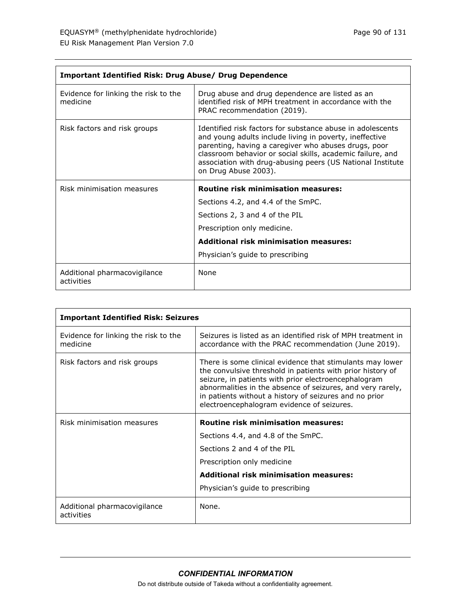| <b>Important Identified Risk: Drug Abuse/ Drug Dependence</b> |                                                                                                                                                                                                                                                                                                                                   |
|---------------------------------------------------------------|-----------------------------------------------------------------------------------------------------------------------------------------------------------------------------------------------------------------------------------------------------------------------------------------------------------------------------------|
| Evidence for linking the risk to the<br>medicine              | Drug abuse and drug dependence are listed as an<br>identified risk of MPH treatment in accordance with the<br>PRAC recommendation (2019).                                                                                                                                                                                         |
| Risk factors and risk groups                                  | Identified risk factors for substance abuse in adolescents<br>and young adults include living in poverty, ineffective<br>parenting, having a caregiver who abuses drugs, poor<br>classroom behavior or social skills, academic failure, and<br>association with drug-abusing peers (US National Institute<br>on Drug Abuse 2003). |
|                                                               |                                                                                                                                                                                                                                                                                                                                   |
| Risk minimisation measures                                    | <b>Routine risk minimisation measures:</b>                                                                                                                                                                                                                                                                                        |
|                                                               | Sections 4.2, and 4.4 of the SmPC.                                                                                                                                                                                                                                                                                                |
|                                                               | Sections 2, 3 and 4 of the PIL                                                                                                                                                                                                                                                                                                    |
|                                                               | Prescription only medicine.                                                                                                                                                                                                                                                                                                       |
|                                                               | <b>Additional risk minimisation measures:</b>                                                                                                                                                                                                                                                                                     |
|                                                               | Physician's guide to prescribing                                                                                                                                                                                                                                                                                                  |

| <b>Important Identified Risk: Seizures</b>       |                                                                                                                                                                                                                                                                                                                                                       |
|--------------------------------------------------|-------------------------------------------------------------------------------------------------------------------------------------------------------------------------------------------------------------------------------------------------------------------------------------------------------------------------------------------------------|
| Evidence for linking the risk to the<br>medicine | Seizures is listed as an identified risk of MPH treatment in<br>accordance with the PRAC recommendation (June 2019).                                                                                                                                                                                                                                  |
| Risk factors and risk groups                     | There is some clinical evidence that stimulants may lower<br>the convulsive threshold in patients with prior history of<br>seizure, in patients with prior electroencephalogram<br>abnormalities in the absence of seizures, and very rarely,<br>in patients without a history of seizures and no prior<br>electroencephalogram evidence of seizures. |
| Risk minimisation measures                       | <b>Routine risk minimisation measures:</b>                                                                                                                                                                                                                                                                                                            |
|                                                  | Sections 4.4, and 4.8 of the SmPC.                                                                                                                                                                                                                                                                                                                    |
|                                                  | Sections 2 and 4 of the PIL                                                                                                                                                                                                                                                                                                                           |
|                                                  | Prescription only medicine                                                                                                                                                                                                                                                                                                                            |
|                                                  | <b>Additional risk minimisation measures:</b>                                                                                                                                                                                                                                                                                                         |
|                                                  | Physician's guide to prescribing                                                                                                                                                                                                                                                                                                                      |
| Additional pharmacovigilance<br>activities       | None.                                                                                                                                                                                                                                                                                                                                                 |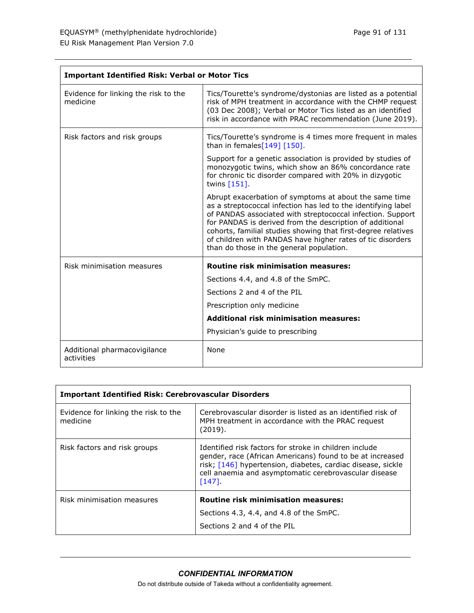| <b>Important Identified Risk: Verbal or Motor Tics</b> |                                                                                                                                                                                                                                                                                                                                                                                                                              |
|--------------------------------------------------------|------------------------------------------------------------------------------------------------------------------------------------------------------------------------------------------------------------------------------------------------------------------------------------------------------------------------------------------------------------------------------------------------------------------------------|
| Evidence for linking the risk to the<br>medicine       | Tics/Tourette's syndrome/dystonias are listed as a potential<br>risk of MPH treatment in accordance with the CHMP request<br>(03 Dec 2008); Verbal or Motor Tics listed as an identified<br>risk in accordance with PRAC recommendation (June 2019).                                                                                                                                                                         |
| Risk factors and risk groups                           | Tics/Tourette's syndrome is 4 times more frequent in males<br>than in females $[149]$ [150].                                                                                                                                                                                                                                                                                                                                 |
|                                                        | Support for a genetic association is provided by studies of<br>monozygotic twins, which show an 86% concordance rate<br>for chronic tic disorder compared with 20% in dizygotic<br>twins $[151]$ .                                                                                                                                                                                                                           |
|                                                        | Abrupt exacerbation of symptoms at about the same time<br>as a streptococcal infection has led to the identifying label<br>of PANDAS associated with streptococcal infection. Support<br>for PANDAS is derived from the description of additional<br>cohorts, familial studies showing that first-degree relatives<br>of children with PANDAS have higher rates of tic disorders<br>than do those in the general population. |
| Risk minimisation measures                             | <b>Routine risk minimisation measures:</b>                                                                                                                                                                                                                                                                                                                                                                                   |
|                                                        | Sections 4.4, and 4.8 of the SmPC.                                                                                                                                                                                                                                                                                                                                                                                           |
|                                                        | Sections 2 and 4 of the PIL                                                                                                                                                                                                                                                                                                                                                                                                  |
|                                                        | Prescription only medicine                                                                                                                                                                                                                                                                                                                                                                                                   |
|                                                        | <b>Additional risk minimisation measures:</b>                                                                                                                                                                                                                                                                                                                                                                                |
|                                                        | Physician's guide to prescribing                                                                                                                                                                                                                                                                                                                                                                                             |
| Additional pharmacovigilance<br>activities             | None                                                                                                                                                                                                                                                                                                                                                                                                                         |

| <b>Important Identified Risk: Cerebrovascular Disorders</b> |                                                                                                                                                                                                                                                          |
|-------------------------------------------------------------|----------------------------------------------------------------------------------------------------------------------------------------------------------------------------------------------------------------------------------------------------------|
| Evidence for linking the risk to the<br>medicine            | Cerebrovascular disorder is listed as an identified risk of<br>MPH treatment in accordance with the PRAC request<br>(2019).                                                                                                                              |
| Risk factors and risk groups                                | Identified risk factors for stroke in children include<br>gender, race (African Americans) found to be at increased<br>risk; [146] hypertension, diabetes, cardiac disease, sickle<br>cell anaemia and asymptomatic cerebrovascular disease<br>$[147]$ . |
| Risk minimisation measures                                  | <b>Routine risk minimisation measures:</b>                                                                                                                                                                                                               |
|                                                             | Sections 4.3, 4.4, and 4.8 of the SmPC.                                                                                                                                                                                                                  |
|                                                             | Sections 2 and 4 of the PIL                                                                                                                                                                                                                              |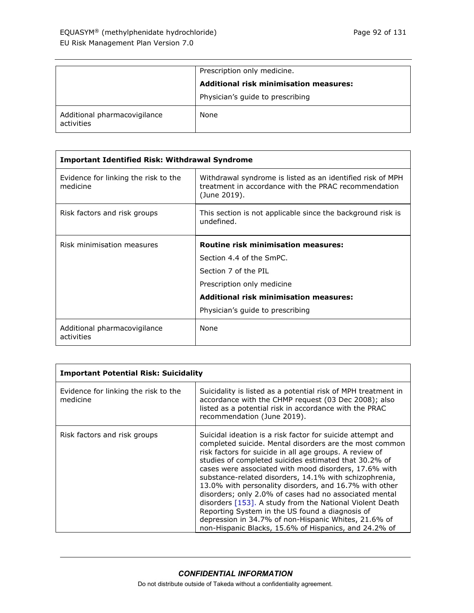|                                            | Prescription only medicine.                   |
|--------------------------------------------|-----------------------------------------------|
|                                            | <b>Additional risk minimisation measures:</b> |
|                                            | Physician's guide to prescribing              |
| Additional pharmacovigilance<br>activities | None                                          |

| <b>Important Identified Risk: Withdrawal Syndrome</b> |                                                                                                                                    |
|-------------------------------------------------------|------------------------------------------------------------------------------------------------------------------------------------|
| Evidence for linking the risk to the<br>medicine      | Withdrawal syndrome is listed as an identified risk of MPH<br>treatment in accordance with the PRAC recommendation<br>(June 2019). |
| Risk factors and risk groups                          | This section is not applicable since the background risk is<br>undefined.                                                          |
| Risk minimisation measures                            | <b>Routine risk minimisation measures:</b>                                                                                         |
|                                                       | Section 4.4 of the SmPC.                                                                                                           |
|                                                       | Section 7 of the PIL                                                                                                               |
|                                                       | Prescription only medicine                                                                                                         |
|                                                       | <b>Additional risk minimisation measures:</b>                                                                                      |
|                                                       | Physician's guide to prescribing                                                                                                   |
| Additional pharmacovigilance<br>activities            | <b>None</b>                                                                                                                        |

| <b>Important Potential Risk: Suicidality</b>     |                                                                                                                                                                                                                                                                                                                                                                                                                                                                                                                                                                                                                                                                                                                  |
|--------------------------------------------------|------------------------------------------------------------------------------------------------------------------------------------------------------------------------------------------------------------------------------------------------------------------------------------------------------------------------------------------------------------------------------------------------------------------------------------------------------------------------------------------------------------------------------------------------------------------------------------------------------------------------------------------------------------------------------------------------------------------|
| Evidence for linking the risk to the<br>medicine | Suicidality is listed as a potential risk of MPH treatment in<br>accordance with the CHMP request (03 Dec 2008); also<br>listed as a potential risk in accordance with the PRAC<br>recommendation (June 2019).                                                                                                                                                                                                                                                                                                                                                                                                                                                                                                   |
| Risk factors and risk groups                     | Suicidal ideation is a risk factor for suicide attempt and<br>completed suicide. Mental disorders are the most common<br>risk factors for suicide in all age groups. A review of<br>studies of completed suicides estimated that 30.2% of<br>cases were associated with mood disorders, 17.6% with<br>substance-related disorders, 14.1% with schizophrenia,<br>13.0% with personality disorders, and 16.7% with other<br>disorders; only 2.0% of cases had no associated mental<br>disorders [153]. A study from the National Violent Death<br>Reporting System in the US found a diagnosis of<br>depression in 34.7% of non-Hispanic Whites, 21.6% of<br>non-Hispanic Blacks, 15.6% of Hispanics, and 24.2% of |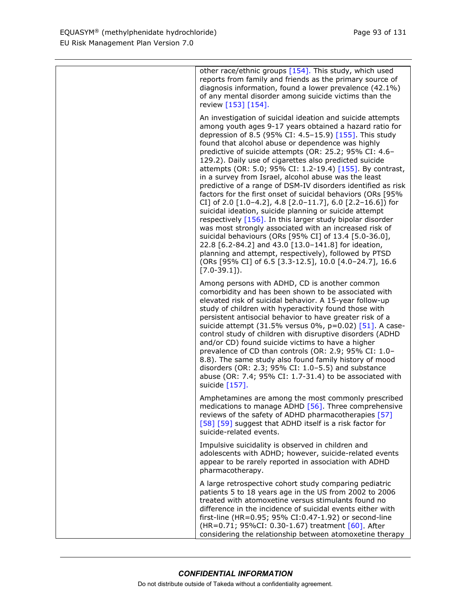| other race/ethnic groups $[154]$ . This study, which used<br>reports from family and friends as the primary source of<br>diagnosis information, found a lower prevalence (42.1%)<br>of any mental disorder among suicide victims than the<br>review [153] [154].                                                                                                                                                                                                                                                                                                                                                                                                                                                                                                                                                                                                                                                                                                                                                                                                                                               |
|----------------------------------------------------------------------------------------------------------------------------------------------------------------------------------------------------------------------------------------------------------------------------------------------------------------------------------------------------------------------------------------------------------------------------------------------------------------------------------------------------------------------------------------------------------------------------------------------------------------------------------------------------------------------------------------------------------------------------------------------------------------------------------------------------------------------------------------------------------------------------------------------------------------------------------------------------------------------------------------------------------------------------------------------------------------------------------------------------------------|
| An investigation of suicidal ideation and suicide attempts<br>among youth ages 9-17 years obtained a hazard ratio for<br>depression of 8.5 (95% CI: 4.5-15.9) [155]. This study<br>found that alcohol abuse or dependence was highly<br>predictive of suicide attempts (OR: 25.2; 95% CI: 4.6-<br>129.2). Daily use of cigarettes also predicted suicide<br>attempts (OR: 5.0; 95% CI: 1.2-19.4) [155]. By contrast,<br>in a survey from Israel, alcohol abuse was the least<br>predictive of a range of DSM-IV disorders identified as risk<br>factors for the first onset of suicidal behaviors (ORs [95%<br>CI] of 2.0 [1.0-4.2], 4.8 [2.0-11.7], 6.0 [2.2-16.6]) for<br>suicidal ideation, suicide planning or suicide attempt<br>respectively [156]. In this larger study bipolar disorder<br>was most strongly associated with an increased risk of<br>suicidal behaviours (ORs [95% CI] of 13.4 [5.0-36.0],<br>22.8 [6.2-84.2] and 43.0 [13.0-141.8] for ideation,<br>planning and attempt, respectively), followed by PTSD<br>(ORs [95% CI] of 6.5 [3.3-12.5], 10.0 [4.0-24.7], 16.6<br>$[7.0-39.1]$ . |
| Among persons with ADHD, CD is another common<br>comorbidity and has been shown to be associated with<br>elevated risk of suicidal behavior. A 15-year follow-up<br>study of children with hyperactivity found those with<br>persistent antisocial behavior to have greater risk of a<br>suicide attempt (31.5% versus $0\%$ , p=0.02) [51]. A case-<br>control study of children with disruptive disorders (ADHD<br>and/or CD) found suicide victims to have a higher<br>prevalence of CD than controls (OR: 2.9; 95% CI: 1.0-<br>8.8). The same study also found family history of mood<br>disorders (OR: 2.3; 95% CI: $1.0-5.5$ ) and substance<br>abuse (OR: 7.4; 95% CI: 1.7-31.4) to be associated with<br>suicide [157].                                                                                                                                                                                                                                                                                                                                                                                |
| Amphetamines are among the most commonly prescribed<br>medications to manage ADHD [56]. Three comprehensive<br>reviews of the safety of ADHD pharmacotherapies [57]<br>[58] [59] suggest that ADHD itself is a risk factor for<br>suicide-related events.                                                                                                                                                                                                                                                                                                                                                                                                                                                                                                                                                                                                                                                                                                                                                                                                                                                      |
| Impulsive suicidality is observed in children and<br>adolescents with ADHD; however, suicide-related events<br>appear to be rarely reported in association with ADHD<br>pharmacotherapy.                                                                                                                                                                                                                                                                                                                                                                                                                                                                                                                                                                                                                                                                                                                                                                                                                                                                                                                       |
| A large retrospective cohort study comparing pediatric<br>patients 5 to 18 years age in the US from 2002 to 2006<br>treated with atomoxetine versus stimulants found no<br>difference in the incidence of suicidal events either with<br>first-line (HR=0.95; 95% CI:0.47-1.92) or second-line<br>(HR=0.71; 95%CI: 0.30-1.67) treatment [60]. After<br>considering the relationship between atomoxetine therapy                                                                                                                                                                                                                                                                                                                                                                                                                                                                                                                                                                                                                                                                                                |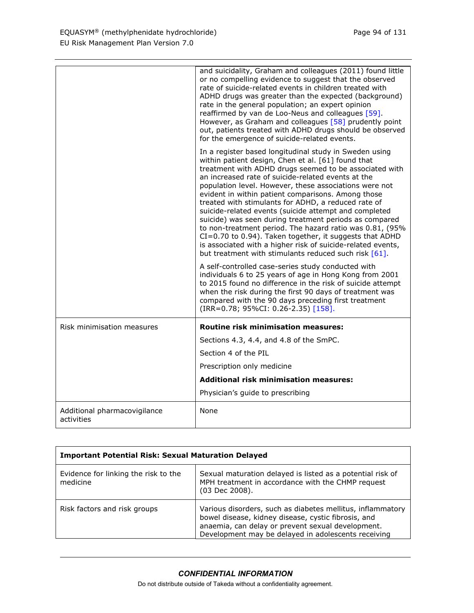|                                            | and suicidality, Graham and colleagues (2011) found little<br>or no compelling evidence to suggest that the observed<br>rate of suicide-related events in children treated with<br>ADHD drugs was greater than the expected (background)<br>rate in the general population; an expert opinion<br>reaffirmed by van de Loo-Neus and colleagues [59].<br>However, as Graham and colleagues [58] prudently point<br>out, patients treated with ADHD drugs should be observed<br>for the emergence of suicide-related events.                                                                                                                                                                                                                                             |
|--------------------------------------------|-----------------------------------------------------------------------------------------------------------------------------------------------------------------------------------------------------------------------------------------------------------------------------------------------------------------------------------------------------------------------------------------------------------------------------------------------------------------------------------------------------------------------------------------------------------------------------------------------------------------------------------------------------------------------------------------------------------------------------------------------------------------------|
|                                            | In a register based longitudinal study in Sweden using<br>within patient design, Chen et al. [61] found that<br>treatment with ADHD drugs seemed to be associated with<br>an increased rate of suicide-related events at the<br>population level. However, these associations were not<br>evident in within patient comparisons. Among those<br>treated with stimulants for ADHD, a reduced rate of<br>suicide-related events (suicide attempt and completed<br>suicide) was seen during treatment periods as compared<br>to non-treatment period. The hazard ratio was 0.81, (95%<br>CI=0.70 to 0.94). Taken together, it suggests that ADHD<br>is associated with a higher risk of suicide-related events,<br>but treatment with stimulants reduced such risk [61]. |
|                                            | A self-controlled case-series study conducted with<br>individuals 6 to 25 years of age in Hong Kong from 2001<br>to 2015 found no difference in the risk of suicide attempt<br>when the risk during the first 90 days of treatment was<br>compared with the 90 days preceding first treatment<br>(IRR=0.78; 95%CI: 0.26-2.35) [158].                                                                                                                                                                                                                                                                                                                                                                                                                                  |
| Risk minimisation measures                 | <b>Routine risk minimisation measures:</b>                                                                                                                                                                                                                                                                                                                                                                                                                                                                                                                                                                                                                                                                                                                            |
|                                            | Sections 4.3, 4.4, and 4.8 of the SmPC.                                                                                                                                                                                                                                                                                                                                                                                                                                                                                                                                                                                                                                                                                                                               |
|                                            | Section 4 of the PIL                                                                                                                                                                                                                                                                                                                                                                                                                                                                                                                                                                                                                                                                                                                                                  |
|                                            | Prescription only medicine                                                                                                                                                                                                                                                                                                                                                                                                                                                                                                                                                                                                                                                                                                                                            |
|                                            | <b>Additional risk minimisation measures:</b>                                                                                                                                                                                                                                                                                                                                                                                                                                                                                                                                                                                                                                                                                                                         |
|                                            | Physician's guide to prescribing                                                                                                                                                                                                                                                                                                                                                                                                                                                                                                                                                                                                                                                                                                                                      |
| Additional pharmacovigilance<br>activities | None                                                                                                                                                                                                                                                                                                                                                                                                                                                                                                                                                                                                                                                                                                                                                                  |

| <b>Important Potential Risk: Sexual Maturation Delayed</b> |                                                                                                                                                                                                                               |
|------------------------------------------------------------|-------------------------------------------------------------------------------------------------------------------------------------------------------------------------------------------------------------------------------|
| Evidence for linking the risk to the<br>medicine           | Sexual maturation delayed is listed as a potential risk of<br>MPH treatment in accordance with the CHMP request<br>(03 Dec 2008).                                                                                             |
| Risk factors and risk groups                               | Various disorders, such as diabetes mellitus, inflammatory<br>bowel disease, kidney disease, cystic fibrosis, and<br>anaemia, can delay or prevent sexual development.<br>Development may be delayed in adolescents receiving |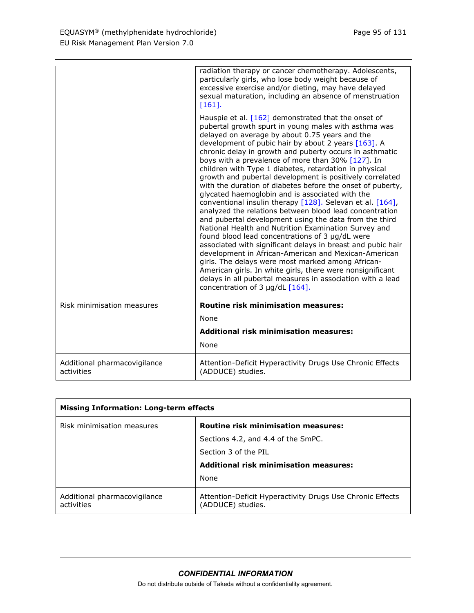|                                            | radiation therapy or cancer chemotherapy. Adolescents,<br>particularly girls, who lose body weight because of<br>excessive exercise and/or dieting, may have delayed<br>sexual maturation, including an absence of menstruation<br>$[161]$ .                                                                                                                                                                                                                                                                                                                                                                                                                                                                                                                                                                                                                                                                                                                                                                                                                                                                                                                                                                               |
|--------------------------------------------|----------------------------------------------------------------------------------------------------------------------------------------------------------------------------------------------------------------------------------------------------------------------------------------------------------------------------------------------------------------------------------------------------------------------------------------------------------------------------------------------------------------------------------------------------------------------------------------------------------------------------------------------------------------------------------------------------------------------------------------------------------------------------------------------------------------------------------------------------------------------------------------------------------------------------------------------------------------------------------------------------------------------------------------------------------------------------------------------------------------------------------------------------------------------------------------------------------------------------|
|                                            | Hauspie et al. [162] demonstrated that the onset of<br>pubertal growth spurt in young males with asthma was<br>delayed on average by about 0.75 years and the<br>development of pubic hair by about 2 years [163]. A<br>chronic delay in growth and puberty occurs in asthmatic<br>boys with a prevalence of more than $30\%$ [127]. In<br>children with Type 1 diabetes, retardation in physical<br>growth and pubertal development is positively correlated<br>with the duration of diabetes before the onset of puberty,<br>glycated haemoglobin and is associated with the<br>conventional insulin therapy [128]. Selevan et al. [164],<br>analyzed the relations between blood lead concentration<br>and pubertal development using the data from the third<br>National Health and Nutrition Examination Survey and<br>found blood lead concentrations of 3 µg/dL were<br>associated with significant delays in breast and pubic hair<br>development in African-American and Mexican-American<br>girls. The delays were most marked among African-<br>American girls. In white girls, there were nonsignificant<br>delays in all pubertal measures in association with a lead<br>concentration of $3 \mu g/dL$ [164]. |
| Risk minimisation measures                 | <b>Routine risk minimisation measures:</b>                                                                                                                                                                                                                                                                                                                                                                                                                                                                                                                                                                                                                                                                                                                                                                                                                                                                                                                                                                                                                                                                                                                                                                                 |
|                                            | <b>None</b>                                                                                                                                                                                                                                                                                                                                                                                                                                                                                                                                                                                                                                                                                                                                                                                                                                                                                                                                                                                                                                                                                                                                                                                                                |
|                                            | <b>Additional risk minimisation measures:</b>                                                                                                                                                                                                                                                                                                                                                                                                                                                                                                                                                                                                                                                                                                                                                                                                                                                                                                                                                                                                                                                                                                                                                                              |
|                                            | None                                                                                                                                                                                                                                                                                                                                                                                                                                                                                                                                                                                                                                                                                                                                                                                                                                                                                                                                                                                                                                                                                                                                                                                                                       |
| Additional pharmacovigilance<br>activities | Attention-Deficit Hyperactivity Drugs Use Chronic Effects<br>(ADDUCE) studies.                                                                                                                                                                                                                                                                                                                                                                                                                                                                                                                                                                                                                                                                                                                                                                                                                                                                                                                                                                                                                                                                                                                                             |

| <b>Missing Information: Long-term effects</b> |                                                                                |
|-----------------------------------------------|--------------------------------------------------------------------------------|
| Risk minimisation measures                    | <b>Routine risk minimisation measures:</b>                                     |
|                                               | Sections 4.2, and 4.4 of the SmPC.                                             |
|                                               | Section 3 of the PIL                                                           |
|                                               | <b>Additional risk minimisation measures:</b>                                  |
|                                               | None                                                                           |
| Additional pharmacovigilance<br>activities    | Attention-Deficit Hyperactivity Drugs Use Chronic Effects<br>(ADDUCE) studies. |